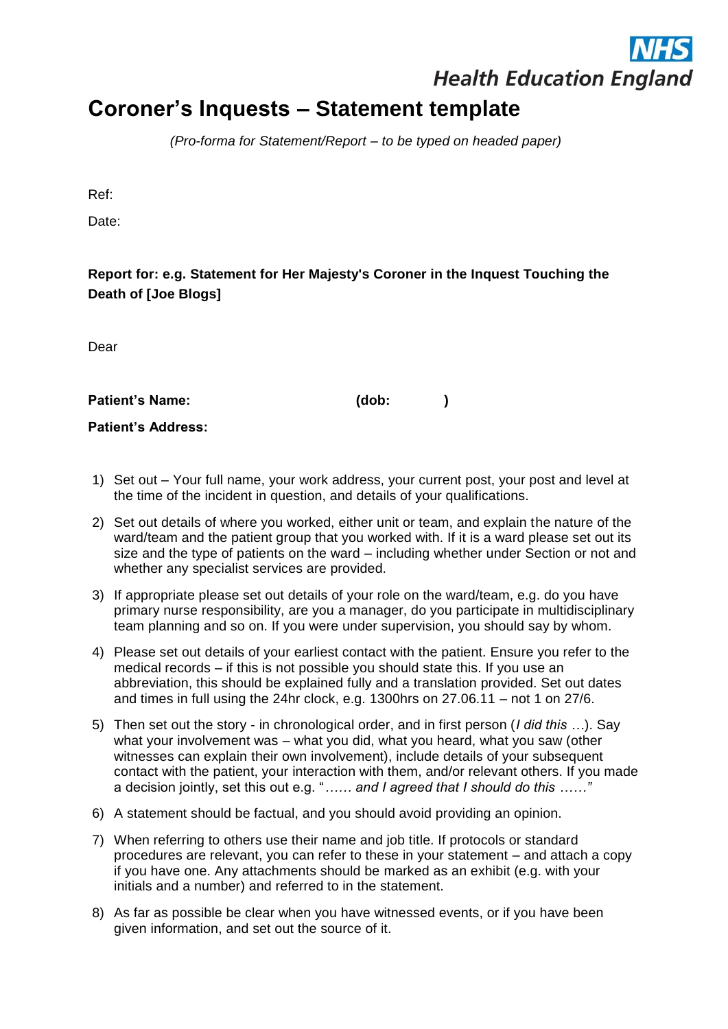## **Health Education England**

## **Coroner's Inquests – Statement template**

*(Pro-forma for Statement/Report – to be typed on headed paper)*

Ref:

Date:

## **Report for: e.g. Statement for Her Majesty's Coroner in the Inquest Touching the Death of [Joe Blogs]**

Dear

**Patient's Name: (dob: )**

**Patient's Address:**

- 1) Set out Your full name, your work address, your current post, your post and level at the time of the incident in question, and details of your qualifications.
- 2) Set out details of where you worked, either unit or team, and explain the nature of the ward/team and the patient group that you worked with. If it is a ward please set out its size and the type of patients on the ward – including whether under Section or not and whether any specialist services are provided.
- 3) If appropriate please set out details of your role on the ward/team, e.g. do you have primary nurse responsibility, are you a manager, do you participate in multidisciplinary team planning and so on. If you were under supervision, you should say by whom.
- 4) Please set out details of your earliest contact with the patient. Ensure you refer to the medical records – if this is not possible you should state this. If you use an abbreviation, this should be explained fully and a translation provided. Set out dates and times in full using the 24hr clock, e.g. 1300hrs on 27.06.11 – not 1 on 27/6.
- 5) Then set out the story in chronological order, and in first person (*I did this …*). Say what your involvement was – what you did, what you heard, what you saw (other witnesses can explain their own involvement), include details of your subsequent contact with the patient, your interaction with them, and/or relevant others. If you made a decision jointly, set this out e.g. "*…… and I agreed that I should do this ……"*
- 6) A statement should be factual, and you should avoid providing an opinion.
- 7) When referring to others use their name and job title. If protocols or standard procedures are relevant, you can refer to these in your statement – and attach a copy if you have one. Any attachments should be marked as an exhibit (e.g. with your initials and a number) and referred to in the statement.
- 8) As far as possible be clear when you have witnessed events, or if you have been given information, and set out the source of it.